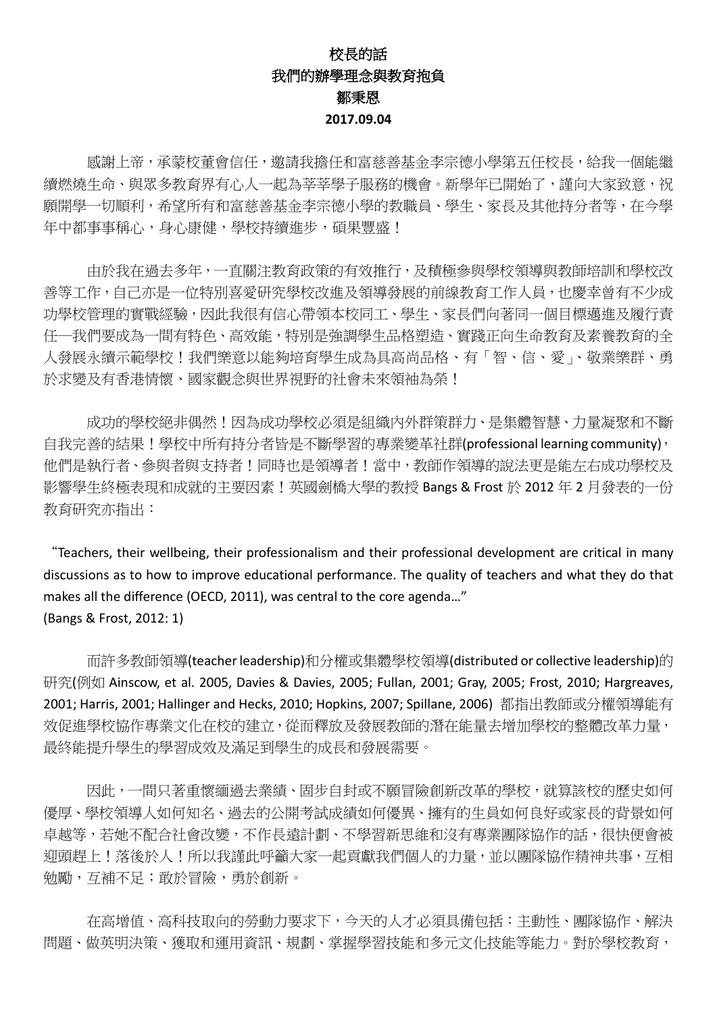## 校長的話 我們的辦學理念與教育抱負 鄒秉恩 **2017.09.04**

 感謝上帝,承蒙校董會信任,邀請我擔任和富慈善基金李宗德小學第五任校長,給我一個能繼 續燃燒生命、與眾多教育界有心人一起為莘莘學子服務的機會。新學年已開始了,謹向大家致意,祝 願開學一切順利,希望所有和富慈善基金李宗德小學的教職員、學生、家長及其他持分者等,在今學 年中都事事稱心,身心康健,學校持續進步,碩果豐盛!

 由於我在過去多年,一直關注教育政策的有效推行,及積極參與學校領導與教師培訓和學校改 善等工作,自己亦是一位特別喜愛研究學校改進及領導發展的前線教育工作人員,也慶幸曾有不少成 功學校管理的實戰經驗,因此我很有信心帶領本校同工、學生、家長們向著同一個目標邁進及履行責 任—我們要成為一間有特色、高效能,特別是強調學生品格塑造、實踐正向生命教育及素養教育的全 人發展永續示範學校!我們樂意以能夠培育學生成為具高尚品格、有「智、信、愛」、敬業樂群、勇 於求變及有香港情懷、國家觀念與世界視野的社會未來領袖為榮!

 成功的學校絕非偶然!因為成功學校必須是組織內外群策群力、是集體智慧、力量凝聚和不斷 自我完善的結果!學校中所有持分者皆是不斷學習的專業變革社群(professional learning community), 他們是執行者、參與者與支持者!同時也是領導者!當中,教師作領導的說法更是能左右成功學校及 影響學生終極表現和成就的主要因素!英國劍橋大學的教授 Bangs & Frost 於 2012 年 2 月發表的一份 教育研究亦指出:

"Teachers, their wellbeing, their professionalism and their professional development are critical in many discussions as to how to improve educational performance. The quality of teachers and what they do that makes all the difference (OECD, 2011), was central to the core agenda…" (Bangs & Frost, 2012: 1)

 而許多教師領導(teacher leadership)和分權或集體學校領導(distributed or collective leadership)的 研究(例如 Ainscow, et al. 2005, Davies & Davies, 2005; Fullan, 2001; Gray, 2005; Frost, 2010; Hargreaves, 2001; Harris, 2001; Hallinger and Hecks, 2010; Hopkins, 2007; Spillane, 2006) 都指出教師或分權領導能有 效促進學校協作專業文化在校的建立,從而釋放及發展教師的潛在能量去增加學校的整體改革力量, 最終能提升學生的學習成效及滿足到學生的成長和發展需要。

因此,一間只著重懷緬過去業績、固步自封或不願冒險創新改革的學校,就算該校的歷史如何 優厚、學校領導人如何知名、過去的公開考試成績如何優異、擁有的生員如何良好或家長的背景如何 卓越等,若她不配合社會改變,不作長遠計劃、不學習新思維和沒有專業團隊協作的話,很快便會被 迎頭趕上!落後於人!所以我謹此呼籲大家一起貢獻我們個人的力量,並以團隊協作精神共事,互相 勉勵,互補不足;敢於冒險,勇於創新。

 在高增值、高科技取向的勞動力要求下,今天的人才必須具備包括:主動性、團隊協作、解決 問題、做英明決策、獲取和運用資訊、規劃、掌握學習技能和多元文化技能等能力。對於學校教育,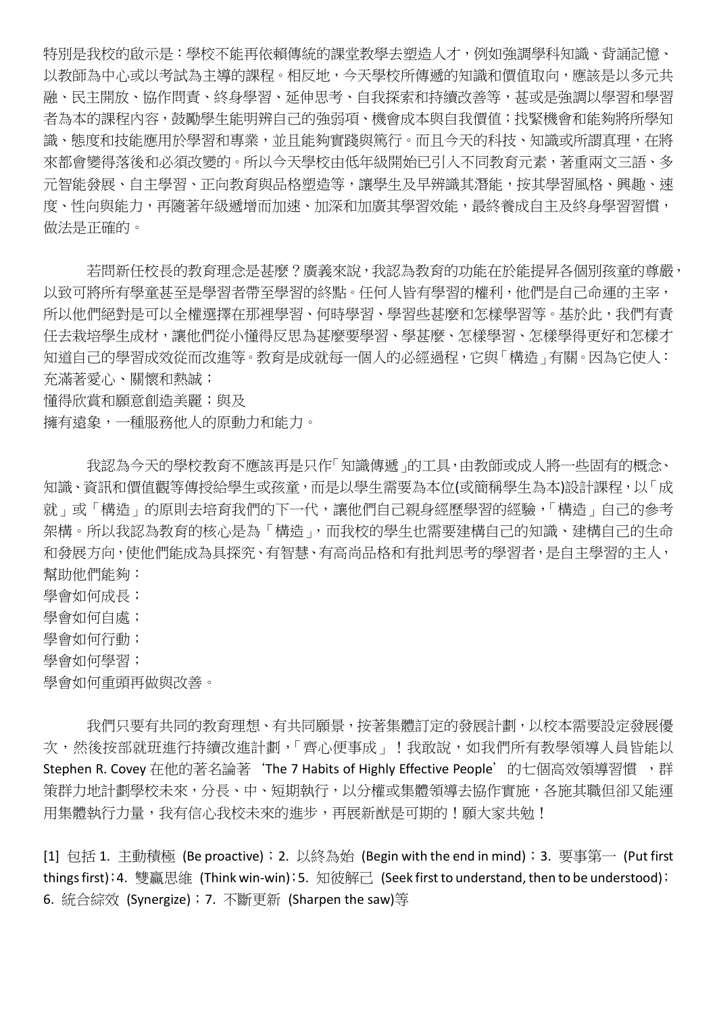特別是我校的啟示是:學校不能再依賴傳統的課堂教學去塑造人才,例如強調學科知識、背誦記憶、 以教師為中心或以考試為主導的課程。相反地,今天學校所傳遞的知識和價值取向,應該是以多元共 融、民主開放、協作問責、終身學習、延伸思考、自我探索和持續改善等,甚或是強調以學習和學習 者為本的課程內容,鼓勵學生能明辨自己的強弱項、機會成本與自我價值;找緊機會和能夠將所學知 識、態度和技能應用於學習和專業,並且能夠實踐與篤行。而且今天的科技、知識或所謂真理,在將 來都會變得落後和必須改變的。所以今天學校由低年級開始已引入不同教育元素,著重兩文三語、多 元智能發展、自主學習、正向教育與品格塑造等,讓學生及早辨識其潛能,按其學習風格、興趣、速 度、性向與能力,再隨著年級遞增而加速、加深和加廣其學習效能,最終養成自主及終身學習習慣, 做法是正確的。

若問新任校長的教育理念是甚麼?廣義來說,我認為教育的功能在於能提昇各個別孩童的尊嚴, 以致可將所有學童甚至是學習者帶至學習的終點。任何人皆有學習的權利,他們是自己命運的主宰, 所以他們絕對是可以全權選擇在那裡學習、何時學習、學習些甚麼和怎樣學習等。基於此,我們有責 任去栽培學生成材,讓他們從小懂得反思為甚麼要學習、學甚麼、怎樣學習、怎樣學得更好和怎樣才 知道自己的學習成效從而改進等。教育是成就每一個人的必經過程,它與「構造」有關。因為它使人: 充滿著愛心、關懷和熱誠;

懂得欣賞和願意創造美麗;與及

擁有遠象,一種服務他人的原動力和能力。

我認為今天的學校教育不應該再是只作「知識傳遞」的工具,由教師或成人將一些固有的概念、 知識、資訊和價值觀等傳授給學生或孩童,而是以學生需要為本位(或簡稱學生為本)設計課程,以「成 就」或「構造」的原則去培育我們的下一代,讓他們自己親身經歷學習的經驗,「構造」自己的參考 架構。所以我認為教育的核心是為「構造」,而我校的學生也需要建構自己的知識、建構自己的生命 和發展方向,使他們能成為具探究、有智慧、有高尚品格和有批判思考的學習者,是自主學習的主人, 幫助他們能夠:

學會如何成長;

學會如何自處;

學會如何行動;

學會如何學習;

學會如何重頭再做與改善。

 我們只要有共同的教育理想、有共同願景,按著集體訂定的發展計劃,以校本需要設定發展優 次,然後按部就班進行持續改進計劃,「齊心便事成」!我敢說,如我們所有教學領導人員皆能以 Stephen R. Covey 在他的著名論著 'The 7 Habits of Highly Effective People'的七個高效領導習慣 , 群 策群力地計劃學校未來,分長、中、短期執行,以分權或集體領導去協作實施,各施其職但卻又能運 用集體執行力量,我有信心我校未來的進步,再展新猷是可期的!願大家共勉!

[1] 包括 1. 主動積極 (Be proactive);2. 以終為始 (Begin with the end in mind);3. 要事第一 (Put first things first);4. 雙贏思維 (Think win-win);5. 知彼解己 (Seek first to understand, then to be understood); 6. 統合綜效 (Synergize);7. 不斷更新 (Sharpen the saw)等